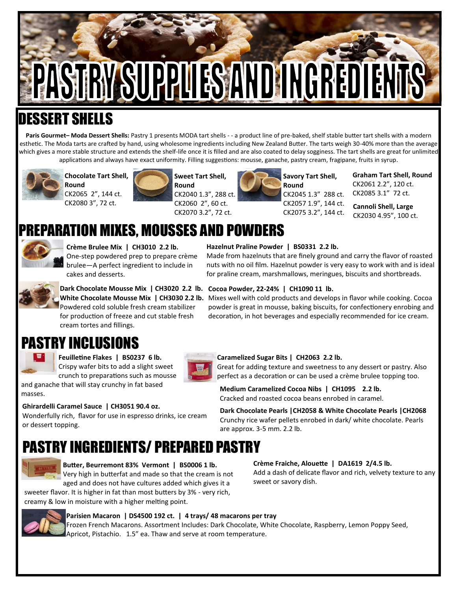# PASTRY SUPPUES AND INGREDIE

## LESSERT

Paris Gourmet-Moda Dessert Shells: Pastry 1 presents MODA tart shells - - a product line of pre-baked, shelf stable butter tart shells with a modern esthetic. The Moda tarts are crafted by hand, using wholesome ingredients including New Zealand Butter. The tarts weigh 30-40% more than the average which gives a more stable structure and extends the shelf-life once it is filled and are also coated to delay sogginess. The tart shells are great for unlimited applications and always have exact uniformity. Filling suggestions: mousse, ganache, pastry cream, fragipane, fruits in syrup.



**Chocolate Tart Shell, Round**







CK2057 1.9", 144 ct. CK2075 3.2", 144 ct.

**Graham Tart Shell, Round** CK2061 2.2", 120 ct. CK2085 3.1" 72 ct.

**Cannoli Shell, Large** CK2030 4.95", 100 ct.

## PARATION MIXES, MOUSSES AND POWDERS



**Crème Brulee Mix | CH3010 2.2 lb.**  One-step powdered prep to prepare crème brulee—A perfect ingredient to include in cakes and desserts.

for production of freeze and cut stable fresh

#### **Hazelnut Praline Powder | BS0331 2.2 lb.**

Made from hazelnuts that are finely ground and carry the flavor of roasted nuts with no oil film. Hazelnut powder is very easy to work with and is ideal for praline cream, marshmallows, meringues, biscuits and shortbreads.



**Dark Chocolate Mousse Mix | CH3020 2.2 lb. Cocoa Powder, 22-24% | CH1090 11 lb.** 

White Chocolate Mousse Mix | CH3030 2.2 lb. Mixes well with cold products and develops in flavor while cooking. Cocoa powder is great in mousse, baking biscuits, for confectionery enrobing and decoration, in hot beverages and especially recommended for ice cream.

### PASTRY INCLUSIONS

cream tortes and fillings.

masses.

or dessert topping.

**Feuilletine Flakes | BS0237 6 lb.**  Crispy wafer bits to add a slight sweet crunch to preparations such as mousse



#### **Caramelized Sugar Bits | CH2063 2.2 lb.**

are approx. 3-5 mm. 2.2 lb.

Great for adding texture and sweetness to any dessert or pastry. Also perfect as a decoration or can be used a crème brulee topping too.

**Medium Caramelized Cocoa Nibs | CH1095 2.2 lb.**  Cracked and roasted cocoa beans enrobed in caramel.

**Ghirardelli Caramel Sauce | CH3051 90.4 oz.**  Wonderfully rich, flavor for use in espresso drinks, ice cream **Dark Chocolate Pearls |CH2058 & White Chocolate Pearls |CH2068** Crunchy rice wafer pellets enrobed in dark/ white chocolate. Pearls

## PASTRY INGREDIENTS/ PREPARED PASTRY



**Crème Fraiche, Alouette | DA1619 2/4.5 lb.**

Add a dash of delicate flavor and rich, velvety texture to any sweet or savory dish.

sweeter flavor. It is higher in fat than most butters by 3% - very rich, creamy & low in moisture with a higher melting point.



#### **Parisien Macaron | DS4500 192 ct. | 4 trays/ 48 macarons per tray**  Frozen French Macarons. Assortment Includes: Dark Chocolate, White Chocolate, Raspberry, Lemon Poppy Seed,

Apricot, Pistachio. 1.5" ea. Thaw and serve at room temperature.